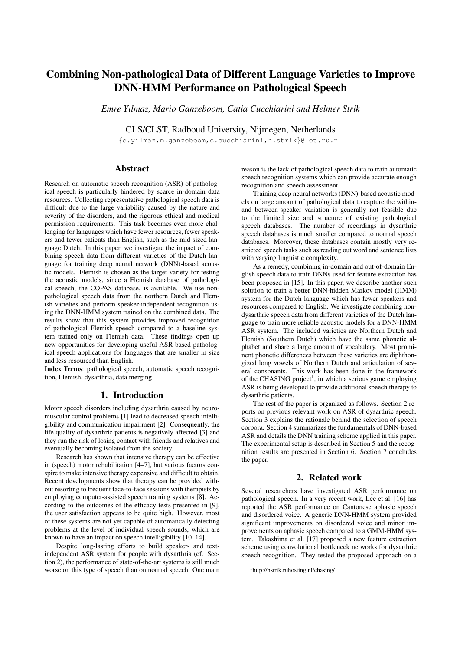# Combining Non-pathological Data of Different Language Varieties to Improve DNN-HMM Performance on Pathological Speech

*Emre Yılmaz, Mario Ganzeboom, Catia Cucchiarini and Helmer Strik*

CLS/CLST, Radboud University, Nijmegen, Netherlands

{e.yilmaz,m.ganzeboom,c.cucchiarini,h.strik}@let.ru.nl

# Abstract

Research on automatic speech recognition (ASR) of pathological speech is particularly hindered by scarce in-domain data resources. Collecting representative pathological speech data is difficult due to the large variability caused by the nature and severity of the disorders, and the rigorous ethical and medical permission requirements. This task becomes even more challenging for languages which have fewer resources, fewer speakers and fewer patients than English, such as the mid-sized language Dutch. In this paper, we investigate the impact of combining speech data from different varieties of the Dutch language for training deep neural network (DNN)-based acoustic models. Flemish is chosen as the target variety for testing the acoustic models, since a Flemish database of pathological speech, the COPAS database, is available. We use nonpathological speech data from the northern Dutch and Flemish varieties and perform speaker-independent recognition using the DNN-HMM system trained on the combined data. The results show that this system provides improved recognition of pathological Flemish speech compared to a baseline system trained only on Flemish data. These findings open up new opportunities for developing useful ASR-based pathological speech applications for languages that are smaller in size and less resourced than English.

Index Terms: pathological speech, automatic speech recognition, Flemish, dysarthria, data merging

# 1. Introduction

Motor speech disorders including dysarthria caused by neuromuscular control problems [1] lead to decreased speech intelligibility and communication impairment [2]. Consequently, the life quality of dysarthric patients is negatively affected [3] and they run the risk of losing contact with friends and relatives and eventually becoming isolated from the society.

Research has shown that intensive therapy can be effective in (speech) motor rehabilitation [4–7], but various factors conspire to make intensive therapy expensive and difficult to obtain. Recent developments show that therapy can be provided without resorting to frequent face-to-face sessions with therapists by employing computer-assisted speech training systems [8]. According to the outcomes of the efficacy tests presented in [9], the user satisfaction appears to be quite high. However, most of these systems are not yet capable of automatically detecting problems at the level of individual speech sounds, which are known to have an impact on speech intelligibility [10–14].

Despite long-lasting efforts to build speaker- and textindependent ASR system for people with dysarthria (cf. Section 2), the performance of state-of-the-art systems is still much worse on this type of speech than on normal speech. One main reason is the lack of pathological speech data to train automatic speech recognition systems which can provide accurate enough recognition and speech assessment.

Training deep neural networks (DNN)-based acoustic models on large amount of pathological data to capture the withinand between-speaker variation is generally not feasible due to the limited size and structure of existing pathological speech databases. The number of recordings in dysarthric speech databases is much smaller compared to normal speech databases. Moreover, these databases contain mostly very restricted speech tasks such as reading out word and sentence lists with varying linguistic complexity.

As a remedy, combining in-domain and out-of-domain English speech data to train DNNs used for feature extraction has been proposed in [15]. In this paper, we describe another such solution to train a better DNN-hidden Markov model (HMM) system for the Dutch language which has fewer speakers and resources compared to English. We investigate combining nondysarthric speech data from different varieties of the Dutch language to train more reliable acoustic models for a DNN-HMM ASR system. The included varieties are Northern Dutch and Flemish (Southern Dutch) which have the same phonetic alphabet and share a large amount of vocabulary. Most prominent phonetic differences between these varieties are diphthongized long vowels of Northern Dutch and articulation of several consonants. This work has been done in the framework of the CHASING project<sup>1</sup>, in which a serious game employing ASR is being developed to provide additional speech therapy to dysarthric patients.

The rest of the paper is organized as follows. Section 2 reports on previous relevant work on ASR of dysarthric speech. Section 3 explains the rationale behind the selection of speech corpora. Section 4 summarizes the fundamentals of DNN-based ASR and details the DNN training scheme applied in this paper. The experimental setup is described in Section 5 and the recognition results are presented in Section 6. Section 7 concludes the paper.

# 2. Related work

Several researchers have investigated ASR performance on pathological speech. In a very recent work, Lee et al. [16] has reported the ASR performance on Cantonese aphasic speech and disordered voice. A generic DNN-HMM system provided significant improvements on disordered voice and minor improvements on aphasic speech compared to a GMM-HMM system. Takashima et al. [17] proposed a new feature extraction scheme using convolutional bottleneck networks for dysarthric speech recognition. They tested the proposed approach on a

<sup>1</sup>http://hstrik.ruhosting.nl/chasing/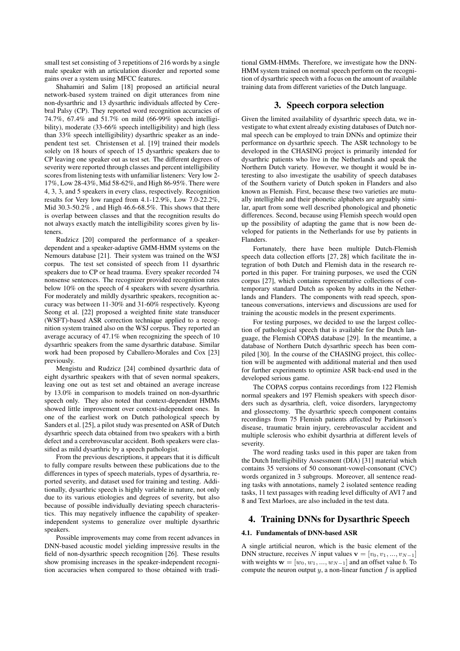small test set consisting of 3 repetitions of 216 words by a single male speaker with an articulation disorder and reported some gains over a system using MFCC features.

Shahamiri and Salim [18] proposed an artificial neural network-based system trained on digit utterances from nine non-dysarthric and 13 dysarthric individuals affected by Cerebral Palsy (CP). They reported word recognition accuracies of 74.7%, 67.4% and 51.7% on mild (66-99% speech intelligibility), moderate (33-66% speech intelligibility) and high (less than 33% speech intelligibility) dysarthric speaker as an independent test set. Christensen et al. [19] trained their models solely on 18 hours of speech of 15 dysarthric speakers due to CP leaving one speaker out as test set. The different degrees of severity were reported through classes and percent intelligibility scores from listening tests with unfamiliar listeners: Very low 2- 17%, Low 28-43%, Mid 58-62%, and High 86-95%. There were 4, 3, 3, and 5 speakers in every class, respectively. Recognition results for Very low ranged from 4.1-12.9%, Low 7.0-22.2%, Mid 30.3-50.2% , and High 46.6-68.5%. This shows that there is overlap between classes and that the recognition results do not always exactly match the intelligibility scores given by listeners.

Rudzicz [20] compared the performance of a speakerdependent and a speaker-adaptive GMM-HMM systems on the Nemours database [21]. Their system was trained on the WSJ corpus. The test set consisted of speech from 11 dysarthric speakers due to CP or head trauma. Every speaker recorded 74 nonsense sentences. The recognizer provided recognition rates below 10% on the speech of 4 speakers with severe dysarthria. For moderately and mildly dysarthric speakers, recognition accuracy was between 11-30% and 31-60% respectively. Kyeong Seong et al. [22] proposed a weighted finite state transducer (WSFT)-based ASR correction technique applied to a recognition system trained also on the WSJ corpus. They reported an average accuracy of 47.1% when recognizing the speech of 10 dysarthric speakers from the same dysarthric database. Similar work had been proposed by Caballero-Morales and Cox [23] previously.

Mengistu and Rudzicz [24] combined dysarthric data of eight dysarthric speakers with that of seven normal speakers, leaving one out as test set and obtained an average increase by 13.0% in comparison to models trained on non-dysarthric speech only. They also noted that context-dependent HMMs showed little improvement over context-independent ones. In one of the earliest work on Dutch pathological speech by Sanders et al. [25], a pilot study was presented on ASR of Dutch dysarthric speech data obtained from two speakers with a birth defect and a cerebrovascular accident. Both speakers were classified as mild dysarthric by a speech pathologist.

From the previous descriptions, it appears that it is difficult to fully compare results between these publications due to the differences in types of speech materials, types of dysarthria, reported severity, and dataset used for training and testing. Additionally, dysarthric speech is highly variable in nature, not only due to its various etiologies and degrees of severity, but also because of possible individually deviating speech characteristics. This may negatively influence the capability of speakerindependent systems to generalize over multiple dysarthric speakers.

Possible improvements may come from recent advances in DNN-based acoustic model yielding impressive results in the field of non-dysarthric speech recognition [26]. These results show promising increases in the speaker-independent recognition accuracies when compared to those obtained with traditional GMM-HMMs. Therefore, we investigate how the DNN-HMM system trained on normal speech perform on the recognition of dysarthric speech with a focus on the amount of available training data from different varieties of the Dutch language.

## 3. Speech corpora selection

Given the limited availability of dysarthric speech data, we investigate to what extent already existing databases of Dutch normal speech can be employed to train DNNs and optimize their performance on dysarthric speech. The ASR technology to be developed in the CHASING project is primarily intended for dysarthric patients who live in the Netherlands and speak the Northern Dutch variety. However, we thought it would be interesting to also investigate the usability of speech databases of the Southern variety of Dutch spoken in Flanders and also known as Flemish. First, because these two varieties are mutually intelligible and their phonetic alphabets are arguably similar, apart from some well described phonological and phonetic differences. Second, because using Flemish speech would open up the possibility of adapting the game that is now been developed for patients in the Netherlands for use by patients in Flanders.

Fortunately, there have been multiple Dutch-Flemish speech data collection efforts [27, 28] which facilitate the integration of both Dutch and Flemish data in the research reported in this paper. For training purposes, we used the CGN corpus [27], which contains representative collections of contemporary standard Dutch as spoken by adults in the Netherlands and Flanders. The components with read speech, spontaneous conversations, interviews and discussions are used for training the acoustic models in the present experiments.

For testing purposes, we decided to use the largest collection of pathological speech that is available for the Dutch language, the Flemish COPAS database [29]. In the meantime, a database of Northern Dutch dysarthric speech has been compiled [30]. In the course of the CHASING project, this collection will be augmented with additional material and then used for further experiments to optimize ASR back-end used in the developed serious game.

The COPAS corpus contains recordings from 122 Flemish normal speakers and 197 Flemish speakers with speech disorders such as dysarthria, cleft, voice disorders, laryngectomy and glossectomy. The dysarthric speech component contains recordings from 75 Flemish patients affected by Parkinson's disease, traumatic brain injury, cerebrovascular accident and multiple sclerosis who exhibit dysarthria at different levels of severity.

The word reading tasks used in this paper are taken from the Dutch Intelligibility Assessment (DIA) [31] material which contains 35 versions of 50 consonant-vowel-consonant (CVC) words organized in 3 subgroups. Moreover, all sentence reading tasks with annotations, namely 2 isolated sentence reading tasks, 11 text passages with reading level difficulty of AVI 7 and 8 and Text Marloes, are also included in the test data.

# 4. Training DNNs for Dysarthric Speech

#### 4.1. Fundamentals of DNN-based ASR

A single artificial neuron, which is the basic element of the DNN structure, receives N input values  $\mathbf{v} = [v_0, v_1, ..., v_{N-1}]$ with weights  $\mathbf{w} = [w_0, w_1, ..., w_{N-1}]$  and an offset value b. To compute the neuron output  $y$ , a non-linear function  $f$  is applied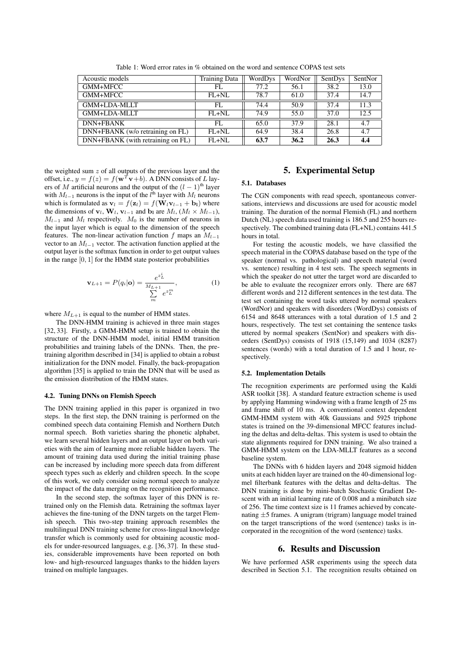| Acoustic models                   | <b>Training Data</b> | WordDys | WordNor | SentDys | SentNor |
|-----------------------------------|----------------------|---------|---------|---------|---------|
| GMM+MFCC                          | FL.                  | 77.2    | 56.1    | 38.2    | 13.0    |
| GMM+MFCC                          | $FL+NL$              | 78.7    | 61.0    | 37.4    | 14.7    |
| GMM+LDA-MLLT                      | FL.                  | 74.4    | 50.9    | 37.4    | 11.3    |
| GMM+LDA-MLLT                      | $FL+NL$              | 74.9    | 55.0    | 37.0    | 12.5    |
| DNN+FBANK                         | FL.                  | 65.0    | 37.9    | 28.1    | 4.7     |
| DNN+FBANK (w/o retraining on FL)  | $FL+NL$              | 64.9    | 38.4    | 26.8    | 4.7     |
| DNN+FBANK (with retraining on FL) | $FL+NL$              | 63.7    | 36.2    | 26.3    | 4.4     |

Table 1: Word error rates in % obtained on the word and sentence COPAS test sets

the weighted sum  $z$  of all outputs of the previous layer and the offset, i.e.,  $y = f(z) = f(w^T v + b)$ . A DNN consists of L layers of M artificial neurons and the output of the  $(l - 1)$ <sup>th</sup> layer with  $M_{l-1}$  neurons is the input of the  $l^{\text{th}}$  layer with  $M_l$  neurons which is formulated as  $\mathbf{v}_l = f(\mathbf{z}_l) = f(\mathbf{W}_l \mathbf{v}_{l-1} + \mathbf{b}_l)$  where the dimensions of  $\mathbf{v}_l$ ,  $\mathbf{W}_l$ ,  $\mathbf{v}_{l-1}$  and  $\mathbf{b}_l$  are  $M_l$ ,  $(M_l \times M_{l-1})$ ,  $M_{l-1}$  and  $M_l$  respectively.  $M_0$  is the number of neurons in the input layer which is equal to the dimension of the speech features. The non-linear activation function f maps an  $M_{l-1}$ vector to an  $M_{l-1}$  vector. The activation function applied at the output layer is the softmax function in order to get output values in the range  $[0, 1]$  for the HMM state posterior probabilities

$$
\mathbf{v}_{L+1} = P(q_i | \mathbf{o}) = \frac{e^{z_L^i}}{\sum_{m=1}^{M_{L+1}} e^{z_L^m}},
$$
(1)

where  $M_{L+1}$  is equal to the number of HMM states.

The DNN-HMM training is achieved in three main stages [32, 33]. Firstly, a GMM-HMM setup is trained to obtain the structure of the DNN-HMM model, initial HMM transition probabilities and training labels of the DNNs. Then, the pretraining algorithm described in [34] is applied to obtain a robust initialization for the DNN model. Finally, the back-propagation algorithm [35] is applied to train the DNN that will be used as the emission distribution of the HMM states.

#### 4.2. Tuning DNNs on Flemish Speech

The DNN training applied in this paper is organized in two steps. In the first step, the DNN training is performed on the combined speech data containing Flemish and Northern Dutch normal speech. Both varieties sharing the phonetic alphabet, we learn several hidden layers and an output layer on both varieties with the aim of learning more reliable hidden layers. The amount of training data used during the initial training phase can be increased by including more speech data from different speech types such as elderly and children speech. In the scope of this work, we only consider using normal speech to analyze the impact of the data merging on the recognition performance.

In the second step, the softmax layer of this DNN is retrained only on the Flemish data. Retraining the softmax layer achieves the fine-tuning of the DNN targets on the target Flemish speech. This two-step training approach resembles the multilingual DNN training scheme for cross-lingual knowledge transfer which is commonly used for obtaining acoustic models for under-resourced languages, e.g. [36, 37]. In these studies, considerable improvements have been reported on both low- and high-resourced languages thanks to the hidden layers trained on multiple languages.

## 5. Experimental Setup

#### 5.1. Databases

The CGN components with read speech, spontaneous conversations, interviews and discussions are used for acoustic model training. The duration of the normal Flemish (FL) and northern Dutch (NL) speech data used training is 186.5 and 255 hours respectively. The combined training data (FL+NL) contains 441.5 hours in total.

For testing the acoustic models, we have classified the speech material in the COPAS database based on the type of the speaker (normal vs. pathological) and speech material (word vs. sentence) resulting in 4 test sets. The speech segments in which the speaker do not utter the target word are discarded to be able to evaluate the recognizer errors only. There are 687 different words and 212 different sentences in the test data. The test set containing the word tasks uttered by normal speakers (WordNor) and speakers with disorders (WordDys) consists of 6154 and 8648 utterances with a total duration of 1.5 and 2 hours, respectively. The test set containing the sentence tasks uttered by normal speakers (SentNor) and speakers with disorders (SentDys) consists of 1918 (15,149) and 1034 (8287) sentences (words) with a total duration of 1.5 and 1 hour, respectively.

#### 5.2. Implementation Details

The recognition experiments are performed using the Kaldi ASR toolkit [38]. A standard feature extraction scheme is used by applying Hamming windowing with a frame length of 25 ms and frame shift of 10 ms. A conventional context dependent GMM-HMM system with 40k Gaussians and 5925 triphone states is trained on the 39-dimensional MFCC features including the deltas and delta-deltas. This system is used to obtain the state alignments required for DNN training. We also trained a GMM-HMM system on the LDA-MLLT features as a second baseline system.

The DNNs with 6 hidden layers and 2048 sigmoid hidden units at each hidden layer are trained on the 40-dimensional logmel filterbank features with the deltas and delta-deltas. The DNN training is done by mini-batch Stochastic Gradient Descent with an initial learning rate of 0.008 and a minibatch size of 256. The time context size is 11 frames achieved by concatenating ±5 frames. A unigram (trigram) language model trained on the target transcriptions of the word (sentence) tasks is incorporated in the recognition of the word (sentence) tasks.

## 6. Results and Discussion

We have performed ASR experiments using the speech data described in Section 5.1. The recognition results obtained on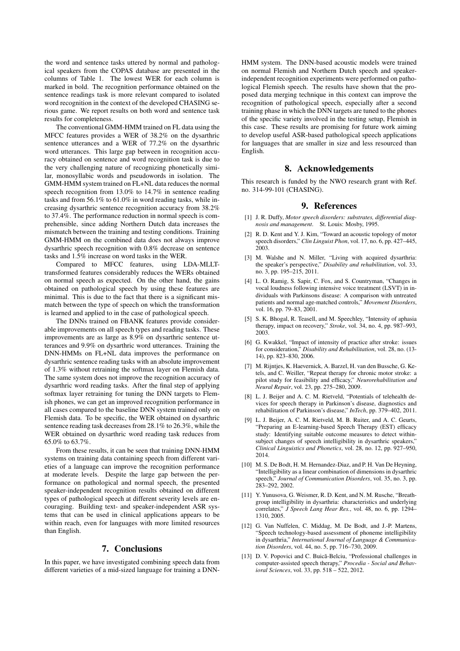the word and sentence tasks uttered by normal and pathological speakers from the COPAS database are presented in the columns of Table 1. The lowest WER for each column is marked in bold. The recognition performance obtained on the sentence readings task is more relevant compared to isolated word recognition in the context of the developed CHASING serious game. We report results on both word and sentence task results for completeness.

The conventional GMM-HMM trained on FL data using the MFCC features provides a WER of 38.2% on the dysarthric sentence utterances and a WER of 77.2% on the dysarthric word utterances. This large gap between in recognition accuracy obtained on sentence and word recognition task is due to the very challenging nature of recognizing phonetically similar, monosyllabic words and pseudowords in isolation. The GMM-HMM system trained on FL+NL data reduces the normal speech recognition from 13.0% to 14.7% in sentence reading tasks and from 56.1% to 61.0% in word reading tasks, while increasing dysarthric sentence recognition accuracy from 38.2% to 37.4%. The performance reduction in normal speech is comprehensible, since adding Northern Dutch data increases the mismatch between the training and testing conditions. Training GMM-HMM on the combined data does not always improve dysarthric speech recognition with 0.8% decrease on sentence tasks and 1.5% increase on word tasks in the WER.

Compared to MFCC features, using LDA-MLLTtransformed features considerably reduces the WERs obtained on normal speech as expected. On the other hand, the gains obtained on pathological speech by using these features are minimal. This is due to the fact that there is a significant mismatch between the type of speech on which the transformation is learned and applied to in the case of pathological speech.

The DNNs trained on FBANK features provide considerable improvements on all speech types and reading tasks. These improvements are as large as 8.9% on dysarthric sentence utterances and 9.9% on dysarthric word utterances. Training the DNN-HMMs on FL+NL data improves the performance on dysarthric sentence reading tasks with an absolute improvement of 1.3% without retraining the softmax layer on Flemish data. The same system does not improve the recognition accuracy of dysarthric word reading tasks. After the final step of applying softmax layer retraining for tuning the DNN targets to Flemish phones, we can get an improved recognition performance in all cases compared to the baseline DNN system trained only on Flemish data. To be specific, the WER obtained on dysarthric sentence reading task decreases from 28.1% to 26.3%, while the WER obtained on dysarthric word reading task reduces from 65.0% to 63.7%.

From these results, it can be seen that training DNN-HMM systems on training data containing speech from different varieties of a language can improve the recognition performance at moderate levels. Despite the large gap between the performance on pathological and normal speech, the presented speaker-independent recognition results obtained on different types of pathological speech at different severity levels are encouraging. Building text- and speaker-independent ASR systems that can be used in clinical applications appears to be within reach, even for languages with more limited resources than English.

#### 7. Conclusions

In this paper, we have investigated combining speech data from different varieties of a mid-sized language for training a DNN- HMM system. The DNN-based acoustic models were trained on normal Flemish and Northern Dutch speech and speakerindependent recognition experiments were performed on pathological Flemish speech. The results have shown that the proposed data merging technique in this context can improve the recognition of pathological speech, especially after a second training phase in which the DNN targets are tuned to the phones of the specific variety involved in the testing setup, Flemish in this case. These results are promising for future work aiming to develop useful ASR-based pathological speech applications for languages that are smaller in size and less resourced than English.

## 8. Acknowledgements

This research is funded by the NWO research grant with Ref. no. 314-99-101 (CHASING).

## 9. References

- [1] J. R. Duffy, *Motor speech disorders: substrates, differential diagnosis and management*. St. Louis: Mosby, 1995.
- [2] R. D. Kent and Y. J. Kim, "Toward an acoustic topology of motor speech disorders," *Clin Linguist Phon*, vol. 17, no. 6, pp. 427–445, 2003.
- [3] M. Walshe and N. Miller, "Living with acquired dysarthria: the speaker's perspective," *Disability and rehabilitation*, vol. 33, no. 3, pp. 195–215, 2011.
- [4] L. O. Ramig, S. Sapir, C. Fox, and S. Countryman, "Changes in vocal loudness following intensive voice treatment (LSVT) in individuals with Parkinsons disease: A comparison with untreated patients and normal age-matched controls," *Movement Disorders*, vol. 16, pp. 79–83, 2001.
- [5] S. K. Bhogal, R. Teasell, and M. Speechley, "Intensity of aphasia therapy, impact on recovery," *Stroke*, vol. 34, no. 4, pp. 987–993, 2003.
- [6] G. Kwakkel, "Impact of intensity of practice after stroke: issues for consideration," *Disability and Rehabilitation*, vol. 28, no. (13- 14), pp. 823–830, 2006.
- [7] M. Rijntjes, K. Haevernick, A. Barzel, H. van den Bussche, G. Ketels, and C. Weiller, "Repeat therapy for chronic motor stroke: a pilot study for feasibility and efficacy," *Neurorehabilitation and Neural Repair*, vol. 23, pp. 275–280, 2009.
- [8] L. J. Beijer and A. C. M. Rietveld, "Potentials of telehealth devices for speech therapy in Parkinson's disease, diagnostics and rehabilitation of Parkinson's disease," *InTech*, pp. 379–402, 2011.
- [9] L. J. Beijer, A. C. M. Rietveld, M. B. Ruiter, and A. C. Geurts, "Preparing an E-learning-based Speech Therapy (EST) efficacy study: Identifying suitable outcome measures to detect withinsubject changes of speech intelligibility in dysarthric speakers," *Clinical Linguistics and Phonetics*, vol. 28, no. 12, pp. 927–950, 2014.
- [10] M. S. De Bodt, H. M. Hernandez-Diaz, and P. H. Van De Heyning, "Intelligibility as a linear combination of dimensions in dysarthric speech," *Journal of Communication Disorders*, vol. 35, no. 3, pp. 283–292, 2002.
- [11] Y. Yunusova, G. Weismer, R. D. Kent, and N. M. Rusche, "Breathgroup intelligibility in dysarthria: characteristics and underlying correlates," *J Speech Lang Hear Res.*, vol. 48, no. 6, pp. 1294– 1310, 2005.
- [12] G. Van Nuffelen, C. Middag, M. De Bodt, and J.-P. Martens, "Speech technology-based assessment of phoneme intelligibility in dysarthria," *International Journal of Language & Communication Disorders*, vol. 44, no. 5, pp. 716–730, 2009.
- [13] D. V. Popovici and C. Buică-Belciu, "Professional challenges in computer-assisted speech therapy," *Procedia - Social and Behavioral Sciences*, vol. 33, pp. 518 – 522, 2012.